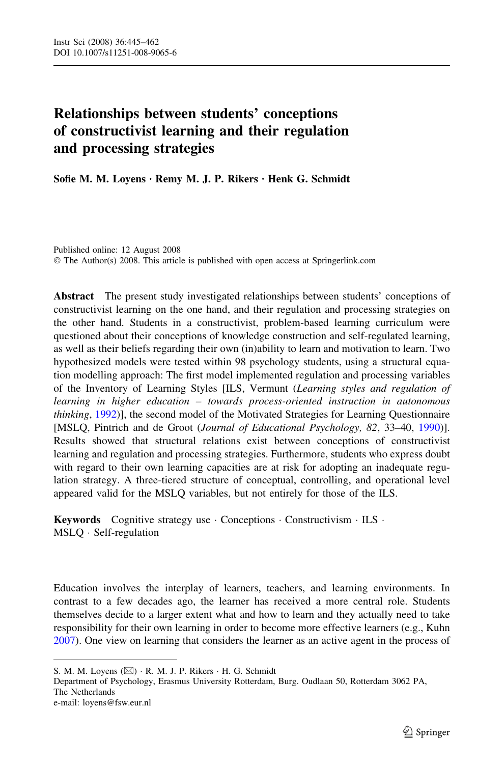# Relationships between students' conceptions of constructivist learning and their regulation and processing strategies

Sofie M. M. Loyens · Remy M. J. P. Rikers · Henk G. Schmidt

Published online: 12 August 2008 The Author(s) 2008. This article is published with open access at Springerlink.com

Abstract The present study investigated relationships between students' conceptions of constructivist learning on the one hand, and their regulation and processing strategies on the other hand. Students in a constructivist, problem-based learning curriculum were questioned about their conceptions of knowledge construction and self-regulated learning, as well as their beliefs regarding their own (in)ability to learn and motivation to learn. Two hypothesized models were tested within 98 psychology students, using a structural equation modelling approach: The first model implemented regulation and processing variables of the Inventory of Learning Styles [ILS, Vermunt (Learning styles and regulation of learning in higher education – towards process-oriented instruction in autonomous thinking, [1992\)](#page-17-0)], the second model of the Motivated Strategies for Learning Questionnaire [MSLQ, Pintrich and de Groot (Journal of Educational Psychology, 82, 33-40, [1990\)](#page-17-0)]. Results showed that structural relations exist between conceptions of constructivist learning and regulation and processing strategies. Furthermore, students who express doubt with regard to their own learning capacities are at risk for adopting an inadequate regulation strategy. A three-tiered structure of conceptual, controlling, and operational level appeared valid for the MSLQ variables, but not entirely for those of the ILS.

**Keywords** Cognitive strategy use  $\cdot$  Conceptions  $\cdot$  Constructivism  $\cdot$  ILS  $\cdot$ MSLQ · Self-regulation

Education involves the interplay of learners, teachers, and learning environments. In contrast to a few decades ago, the learner has received a more central role. Students themselves decide to a larger extent what and how to learn and they actually need to take responsibility for their own learning in order to become more effective learners (e.g., Kuhn [2007\)](#page-16-0). One view on learning that considers the learner as an active agent in the process of

Department of Psychology, Erasmus University Rotterdam, Burg. Oudlaan 50, Rotterdam 3062 PA, The Netherlands

S. M. M. Loyens  $(\boxtimes) \cdot R$ . M. J. P. Rikers  $\cdot$  H. G. Schmidt

e-mail: loyens@fsw.eur.nl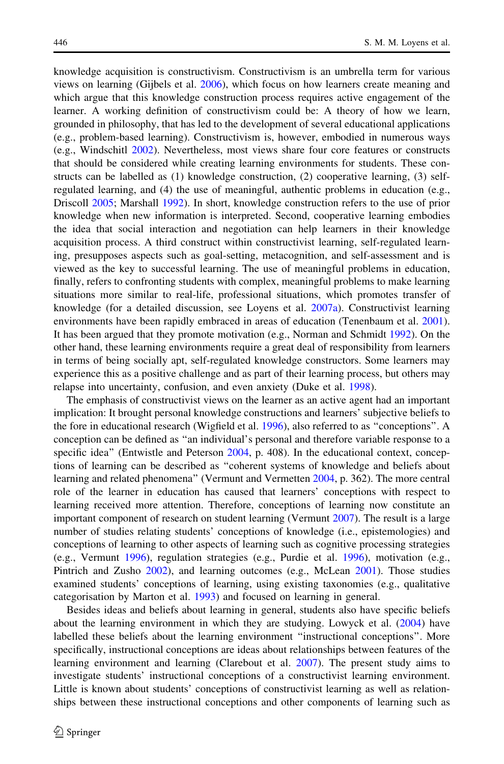knowledge acquisition is constructivism. Constructivism is an umbrella term for various views on learning (Gijbels et al. [2006\)](#page-16-0), which focus on how learners create meaning and which argue that this knowledge construction process requires active engagement of the learner. A working definition of constructivism could be: A theory of how we learn, grounded in philosophy, that has led to the development of several educational applications (e.g., problem-based learning). Constructivism is, however, embodied in numerous ways (e.g., Windschitl [2002\)](#page-17-0). Nevertheless, most views share four core features or constructs that should be considered while creating learning environments for students. These constructs can be labelled as (1) knowledge construction, (2) cooperative learning, (3) selfregulated learning, and (4) the use of meaningful, authentic problems in education (e.g., Driscoll [2005](#page-16-0); Marshall [1992](#page-17-0)). In short, knowledge construction refers to the use of prior knowledge when new information is interpreted. Second, cooperative learning embodies the idea that social interaction and negotiation can help learners in their knowledge acquisition process. A third construct within constructivist learning, self-regulated learning, presupposes aspects such as goal-setting, metacognition, and self-assessment and is viewed as the key to successful learning. The use of meaningful problems in education, finally, refers to confronting students with complex, meaningful problems to make learning situations more similar to real-life, professional situations, which promotes transfer of knowledge (for a detailed discussion, see Loyens et al. [2007a\)](#page-16-0). Constructivist learning environments have been rapidly embraced in areas of education (Tenenbaum et al. [2001](#page-17-0)). It has been argued that they promote motivation (e.g., Norman and Schmidt [1992\)](#page-17-0). On the other hand, these learning environments require a great deal of responsibility from learners in terms of being socially apt, self-regulated knowledge constructors. Some learners may experience this as a positive challenge and as part of their learning process, but others may relapse into uncertainty, confusion, and even anxiety (Duke et al. [1998](#page-16-0)).

The emphasis of constructivist views on the learner as an active agent had an important implication: It brought personal knowledge constructions and learners' subjective beliefs to the fore in educational research (Wigfield et al. [1996](#page-17-0)), also referred to as ''conceptions''. A conception can be defined as ''an individual's personal and therefore variable response to a specific idea" (Entwistle and Peterson [2004](#page-16-0), p. 408). In the educational context, conceptions of learning can be described as ''coherent systems of knowledge and beliefs about learning and related phenomena'' (Vermunt and Vermetten [2004,](#page-17-0) p. 362). The more central role of the learner in education has caused that learners' conceptions with respect to learning received more attention. Therefore, conceptions of learning now constitute an important component of research on student learning (Vermunt [2007](#page-17-0)). The result is a large number of studies relating students' conceptions of knowledge (i.e., epistemologies) and conceptions of learning to other aspects of learning such as cognitive processing strategies (e.g., Vermunt [1996\)](#page-17-0), regulation strategies (e.g., Purdie et al. [1996\)](#page-17-0), motivation (e.g., Pintrich and Zusho [2002](#page-17-0)), and learning outcomes (e.g., McLean [2001\)](#page-17-0). Those studies examined students' conceptions of learning, using existing taxonomies (e.g., qualitative categorisation by Marton et al. [1993](#page-17-0)) and focused on learning in general.

Besides ideas and beliefs about learning in general, students also have specific beliefs about the learning environment in which they are studying. Lowyck et al. ([2004\)](#page-16-0) have labelled these beliefs about the learning environment ''instructional conceptions''. More specifically, instructional conceptions are ideas about relationships between features of the learning environment and learning (Clarebout et al. [2007](#page-16-0)). The present study aims to investigate students' instructional conceptions of a constructivist learning environment. Little is known about students' conceptions of constructivist learning as well as relationships between these instructional conceptions and other components of learning such as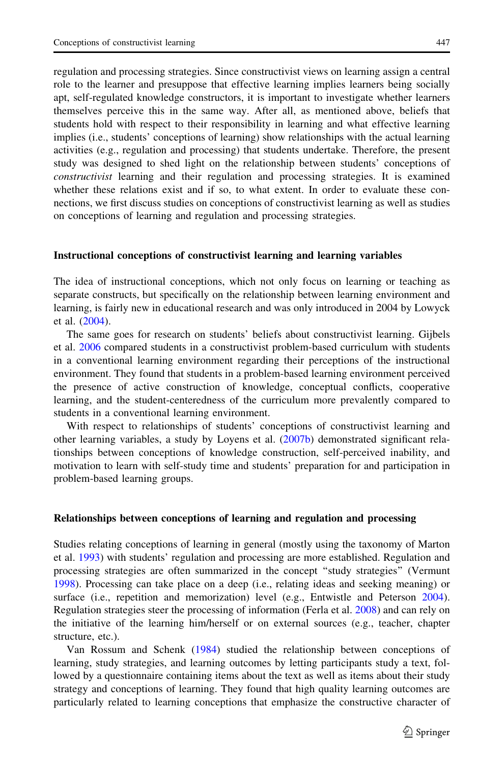regulation and processing strategies. Since constructivist views on learning assign a central role to the learner and presuppose that effective learning implies learners being socially apt, self-regulated knowledge constructors, it is important to investigate whether learners themselves perceive this in the same way. After all, as mentioned above, beliefs that students hold with respect to their responsibility in learning and what effective learning implies (i.e., students' conceptions of learning) show relationships with the actual learning activities (e.g., regulation and processing) that students undertake. Therefore, the present study was designed to shed light on the relationship between students' conceptions of constructivist learning and their regulation and processing strategies. It is examined whether these relations exist and if so, to what extent. In order to evaluate these connections, we first discuss studies on conceptions of constructivist learning as well as studies on conceptions of learning and regulation and processing strategies.

#### Instructional conceptions of constructivist learning and learning variables

The idea of instructional conceptions, which not only focus on learning or teaching as separate constructs, but specifically on the relationship between learning environment and learning, is fairly new in educational research and was only introduced in 2004 by Lowyck et al. [\(2004](#page-16-0)).

The same goes for research on students' beliefs about constructivist learning. Gijbels et al. [2006](#page-16-0) compared students in a constructivist problem-based curriculum with students in a conventional learning environment regarding their perceptions of the instructional environment. They found that students in a problem-based learning environment perceived the presence of active construction of knowledge, conceptual conflicts, cooperative learning, and the student-centeredness of the curriculum more prevalently compared to students in a conventional learning environment.

With respect to relationships of students' conceptions of constructivist learning and other learning variables, a study by Loyens et al. [\(2007b\)](#page-16-0) demonstrated significant relationships between conceptions of knowledge construction, self-perceived inability, and motivation to learn with self-study time and students' preparation for and participation in problem-based learning groups.

## Relationships between conceptions of learning and regulation and processing

Studies relating conceptions of learning in general (mostly using the taxonomy of Marton et al. [1993](#page-17-0)) with students' regulation and processing are more established. Regulation and processing strategies are often summarized in the concept ''study strategies'' (Vermunt [1998\)](#page-17-0). Processing can take place on a deep (i.e., relating ideas and seeking meaning) or surface (i.e., repetition and memorization) level (e.g., Entwistle and Peterson [2004](#page-16-0)). Regulation strategies steer the processing of information (Ferla et al. [2008\)](#page-16-0) and can rely on the initiative of the learning him/herself or on external sources (e.g., teacher, chapter structure, etc.).

Van Rossum and Schenk [\(1984](#page-17-0)) studied the relationship between conceptions of learning, study strategies, and learning outcomes by letting participants study a text, followed by a questionnaire containing items about the text as well as items about their study strategy and conceptions of learning. They found that high quality learning outcomes are particularly related to learning conceptions that emphasize the constructive character of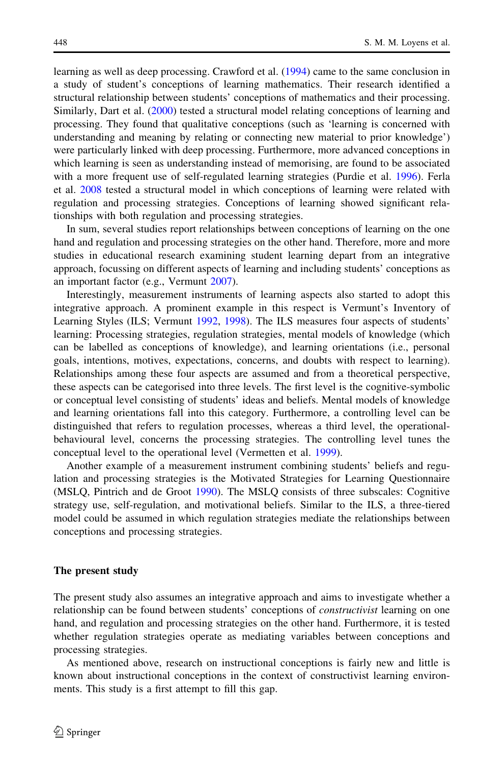learning as well as deep processing. Crawford et al. ([1994\)](#page-16-0) came to the same conclusion in a study of student's conceptions of learning mathematics. Their research identified a structural relationship between students' conceptions of mathematics and their processing. Similarly, Dart et al. ([2000\)](#page-16-0) tested a structural model relating conceptions of learning and processing. They found that qualitative conceptions (such as 'learning is concerned with understanding and meaning by relating or connecting new material to prior knowledge') were particularly linked with deep processing. Furthermore, more advanced conceptions in which learning is seen as understanding instead of memorising, are found to be associated with a more frequent use of self-regulated learning strategies (Purdie et al. [1996](#page-17-0)). Ferla et al. [2008](#page-16-0) tested a structural model in which conceptions of learning were related with regulation and processing strategies. Conceptions of learning showed significant relationships with both regulation and processing strategies.

In sum, several studies report relationships between conceptions of learning on the one hand and regulation and processing strategies on the other hand. Therefore, more and more studies in educational research examining student learning depart from an integrative approach, focussing on different aspects of learning and including students' conceptions as an important factor (e.g., Vermunt [2007](#page-17-0)).

Interestingly, measurement instruments of learning aspects also started to adopt this integrative approach. A prominent example in this respect is Vermunt's Inventory of Learning Styles (ILS; Vermunt [1992,](#page-17-0) [1998\)](#page-17-0). The ILS measures four aspects of students' learning: Processing strategies, regulation strategies, mental models of knowledge (which can be labelled as conceptions of knowledge), and learning orientations (i.e., personal goals, intentions, motives, expectations, concerns, and doubts with respect to learning). Relationships among these four aspects are assumed and from a theoretical perspective, these aspects can be categorised into three levels. The first level is the cognitive-symbolic or conceptual level consisting of students' ideas and beliefs. Mental models of knowledge and learning orientations fall into this category. Furthermore, a controlling level can be distinguished that refers to regulation processes, whereas a third level, the operationalbehavioural level, concerns the processing strategies. The controlling level tunes the conceptual level to the operational level (Vermetten et al. [1999](#page-17-0)).

Another example of a measurement instrument combining students' beliefs and regulation and processing strategies is the Motivated Strategies for Learning Questionnaire (MSLQ, Pintrich and de Groot [1990](#page-17-0)). The MSLQ consists of three subscales: Cognitive strategy use, self-regulation, and motivational beliefs. Similar to the ILS, a three-tiered model could be assumed in which regulation strategies mediate the relationships between conceptions and processing strategies.

#### The present study

The present study also assumes an integrative approach and aims to investigate whether a relationship can be found between students' conceptions of *constructivist* learning on one hand, and regulation and processing strategies on the other hand. Furthermore, it is tested whether regulation strategies operate as mediating variables between conceptions and processing strategies.

As mentioned above, research on instructional conceptions is fairly new and little is known about instructional conceptions in the context of constructivist learning environments. This study is a first attempt to fill this gap.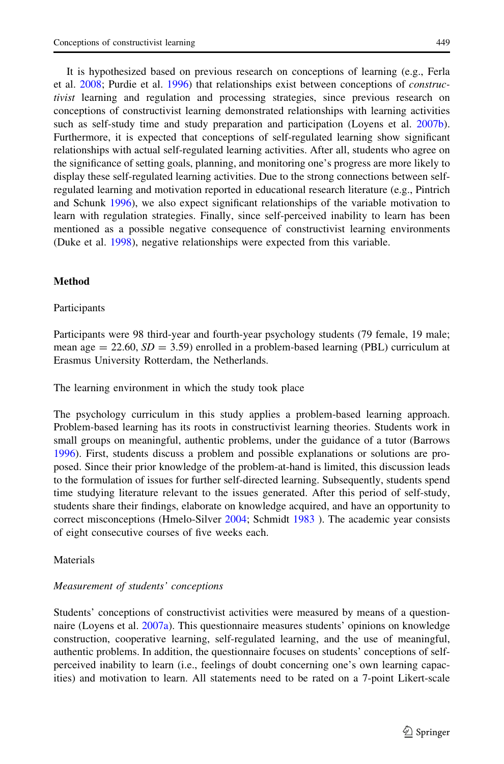It is hypothesized based on previous research on conceptions of learning (e.g., Ferla et al. [2008;](#page-16-0) Purdie et al. [1996\)](#page-17-0) that relationships exist between conceptions of constructivist learning and regulation and processing strategies, since previous research on conceptions of constructivist learning demonstrated relationships with learning activities such as self-study time and study preparation and participation (Loyens et al. [2007b](#page-16-0)). Furthermore, it is expected that conceptions of self-regulated learning show significant relationships with actual self-regulated learning activities. After all, students who agree on the significance of setting goals, planning, and monitoring one's progress are more likely to display these self-regulated learning activities. Due to the strong connections between selfregulated learning and motivation reported in educational research literature (e.g., Pintrich and Schunk [1996\)](#page-17-0), we also expect significant relationships of the variable motivation to learn with regulation strategies. Finally, since self-perceived inability to learn has been mentioned as a possible negative consequence of constructivist learning environments (Duke et al. [1998\)](#page-16-0), negative relationships were expected from this variable.

# Method

#### Participants

Participants were 98 third-year and fourth-year psychology students (79 female, 19 male; mean age  $= 22.60, SD = 3.59$ ) enrolled in a problem-based learning (PBL) curriculum at Erasmus University Rotterdam, the Netherlands.

The learning environment in which the study took place

The psychology curriculum in this study applies a problem-based learning approach. Problem-based learning has its roots in constructivist learning theories. Students work in small groups on meaningful, authentic problems, under the guidance of a tutor (Barrows [1996\)](#page-16-0). First, students discuss a problem and possible explanations or solutions are proposed. Since their prior knowledge of the problem-at-hand is limited, this discussion leads to the formulation of issues for further self-directed learning. Subsequently, students spend time studying literature relevant to the issues generated. After this period of self-study, students share their findings, elaborate on knowledge acquired, and have an opportunity to correct misconceptions (Hmelo-Silver [2004](#page-16-0); Schmidt [1983](#page-17-0) ). The academic year consists of eight consecutive courses of five weeks each.

## Materials

## Measurement of students' conceptions

Students' conceptions of constructivist activities were measured by means of a questionnaire (Loyens et al. [2007a](#page-16-0)). This questionnaire measures students' opinions on knowledge construction, cooperative learning, self-regulated learning, and the use of meaningful, authentic problems. In addition, the questionnaire focuses on students' conceptions of selfperceived inability to learn (i.e., feelings of doubt concerning one's own learning capacities) and motivation to learn. All statements need to be rated on a 7-point Likert-scale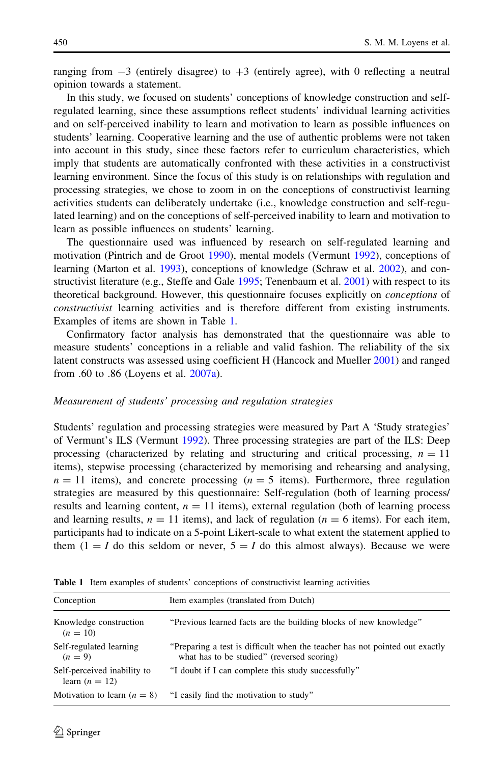ranging from  $-3$  (entirely disagree) to  $+3$  (entirely agree), with 0 reflecting a neutral opinion towards a statement.

In this study, we focused on students' conceptions of knowledge construction and selfregulated learning, since these assumptions reflect students' individual learning activities and on self-perceived inability to learn and motivation to learn as possible influences on students' learning. Cooperative learning and the use of authentic problems were not taken into account in this study, since these factors refer to curriculum characteristics, which imply that students are automatically confronted with these activities in a constructivist learning environment. Since the focus of this study is on relationships with regulation and processing strategies, we chose to zoom in on the conceptions of constructivist learning activities students can deliberately undertake (i.e., knowledge construction and self-regulated learning) and on the conceptions of self-perceived inability to learn and motivation to learn as possible influences on students' learning.

The questionnaire used was influenced by research on self-regulated learning and motivation (Pintrich and de Groot [1990](#page-17-0)), mental models (Vermunt [1992\)](#page-17-0), conceptions of learning (Marton et al. [1993](#page-17-0)), conceptions of knowledge (Schraw et al. [2002\)](#page-17-0), and con-structivist literature (e.g., Steffe and Gale [1995](#page-17-0); Tenenbaum et al. [2001](#page-17-0)) with respect to its theoretical background. However, this questionnaire focuses explicitly on conceptions of constructivist learning activities and is therefore different from existing instruments. Examples of items are shown in Table 1.

Confirmatory factor analysis has demonstrated that the questionnaire was able to measure students' conceptions in a reliable and valid fashion. The reliability of the six latent constructs was assessed using coefficient H (Hancock and Mueller [2001\)](#page-16-0) and ranged from .60 to .86 (Loyens et al. [2007a\)](#page-16-0).

#### Measurement of students' processing and regulation strategies

Students' regulation and processing strategies were measured by Part A 'Study strategies' of Vermunt's ILS (Vermunt [1992\)](#page-17-0). Three processing strategies are part of the ILS: Deep processing (characterized by relating and structuring and critical processing,  $n = 11$ items), stepwise processing (characterized by memorising and rehearsing and analysing,  $n = 11$  items), and concrete processing  $(n = 5$  items). Furthermore, three regulation strategies are measured by this questionnaire: Self-regulation (both of learning process/ results and learning content,  $n = 11$  items), external regulation (both of learning process and learning results,  $n = 11$  items), and lack of regulation ( $n = 6$  items). For each item, participants had to indicate on a 5-point Likert-scale to what extent the statement applied to them  $(1 = I$  do this seldom or never,  $5 = I$  do this almost always). Because we were

| Conception                                      | Item examples (translated from Dutch)                                                                                     |
|-------------------------------------------------|---------------------------------------------------------------------------------------------------------------------------|
| Knowledge construction<br>$(n = 10)$            | "Previous learned facts are the building blocks of new knowledge"                                                         |
| Self-regulated learning<br>$(n = 9)$            | "Preparing a test is difficult when the teacher has not pointed out exactly<br>what has to be studied" (reversed scoring) |
| Self-perceived inability to<br>learn $(n = 12)$ | "I doubt if I can complete this study successfully"                                                                       |
| Motivation to learn $(n = 8)$                   | "I easily find the motivation to study"                                                                                   |

Table 1 Item examples of students' conceptions of constructivist learning activities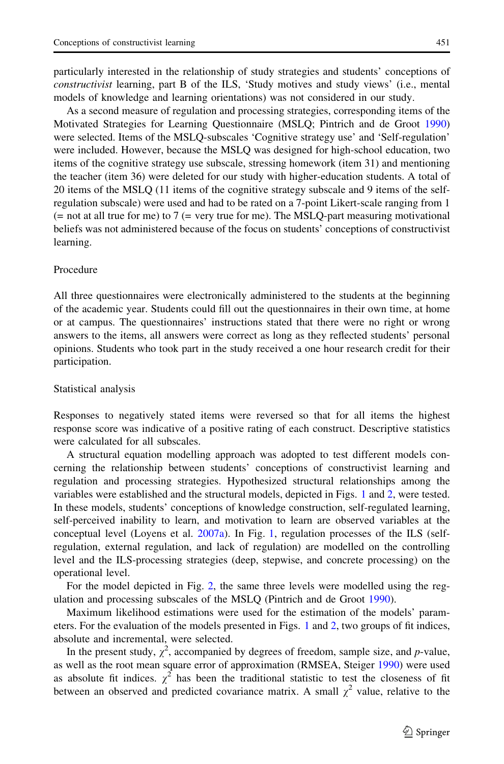particularly interested in the relationship of study strategies and students' conceptions of constructivist learning, part B of the ILS, 'Study motives and study views' (i.e., mental models of knowledge and learning orientations) was not considered in our study.

As a second measure of regulation and processing strategies, corresponding items of the Motivated Strategies for Learning Questionnaire (MSLQ; Pintrich and de Groot [1990](#page-17-0)) were selected. Items of the MSLQ-subscales 'Cognitive strategy use' and 'Self-regulation' were included. However, because the MSLQ was designed for high-school education, two items of the cognitive strategy use subscale, stressing homework (item 31) and mentioning the teacher (item 36) were deleted for our study with higher-education students. A total of 20 items of the MSLQ (11 items of the cognitive strategy subscale and 9 items of the selfregulation subscale) were used and had to be rated on a 7-point Likert-scale ranging from 1  $(=$  not at all true for me) to 7  $(=$  very true for me). The MSLQ-part measuring motivational beliefs was not administered because of the focus on students' conceptions of constructivist learning.

#### Procedure

All three questionnaires were electronically administered to the students at the beginning of the academic year. Students could fill out the questionnaires in their own time, at home or at campus. The questionnaires' instructions stated that there were no right or wrong answers to the items, all answers were correct as long as they reflected students' personal opinions. Students who took part in the study received a one hour research credit for their participation.

## Statistical analysis

Responses to negatively stated items were reversed so that for all items the highest response score was indicative of a positive rating of each construct. Descriptive statistics were calculated for all subscales.

A structural equation modelling approach was adopted to test different models concerning the relationship between students' conceptions of constructivist learning and regulation and processing strategies. Hypothesized structural relationships among the variables were established and the structural models, depicted in Figs. [1](#page-7-0) and [2,](#page-8-0) were tested. In these models, students' conceptions of knowledge construction, self-regulated learning, self-perceived inability to learn, and motivation to learn are observed variables at the conceptual level (Loyens et al. [2007a\)](#page-16-0). In Fig. [1](#page-7-0), regulation processes of the ILS (selfregulation, external regulation, and lack of regulation) are modelled on the controlling level and the ILS-processing strategies (deep, stepwise, and concrete processing) on the operational level.

For the model depicted in Fig. [2](#page-8-0), the same three levels were modelled using the regulation and processing subscales of the MSLQ (Pintrich and de Groot [1990](#page-17-0)).

Maximum likelihood estimations were used for the estimation of the models' parameters. For the evaluation of the models presented in Figs. [1](#page-7-0) and [2](#page-8-0), two groups of fit indices, absolute and incremental, were selected.

In the present study,  $\chi^2$ , accompanied by degrees of freedom, sample size, and p-value, as well as the root mean square error of approximation (RMSEA, Steiger [1990](#page-17-0)) were used as absolute fit indices.  $\chi^2$  has been the traditional statistic to test the closeness of fit between an observed and predicted covariance matrix. A small  $\chi^2$  value, relative to the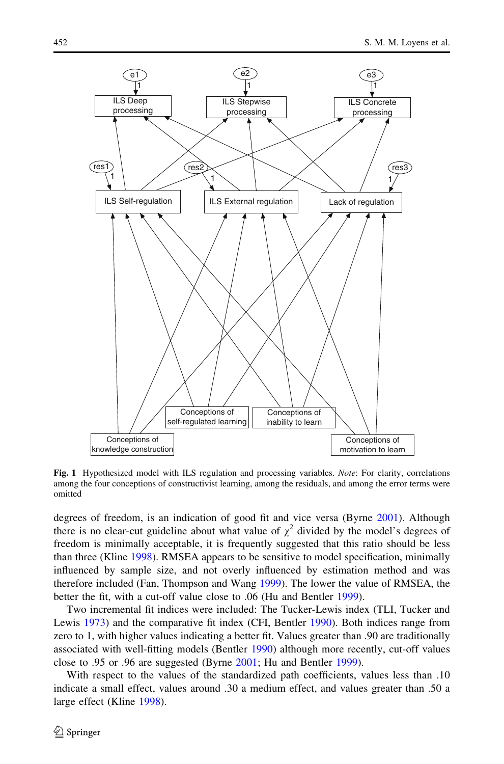<span id="page-7-0"></span>

Fig. 1 Hypothesized model with ILS regulation and processing variables. Note: For clarity, correlations among the four conceptions of constructivist learning, among the residuals, and among the error terms were omitted

degrees of freedom, is an indication of good fit and vice versa (Byrne [2001\)](#page-16-0). Although there is no clear-cut guideline about what value of  $\gamma^2$  divided by the model's degrees of freedom is minimally acceptable, it is frequently suggested that this ratio should be less than three (Kline [1998\)](#page-16-0). RMSEA appears to be sensitive to model specification, minimally influenced by sample size, and not overly influenced by estimation method and was therefore included (Fan, Thompson and Wang [1999](#page-16-0)). The lower the value of RMSEA, the better the fit, with a cut-off value close to .06 (Hu and Bentler [1999\)](#page-16-0).

Two incremental fit indices were included: The Tucker-Lewis index (TLI, Tucker and Lewis [1973](#page-17-0)) and the comparative fit index (CFI, Bentler [1990](#page-16-0)). Both indices range from zero to 1, with higher values indicating a better fit. Values greater than .90 are traditionally associated with well-fitting models (Bentler [1990\)](#page-16-0) although more recently, cut-off values close to .95 or .96 are suggested (Byrne [2001;](#page-16-0) Hu and Bentler [1999](#page-16-0)).

With respect to the values of the standardized path coefficients, values less than .10 indicate a small effect, values around .30 a medium effect, and values greater than .50 a large effect (Kline [1998](#page-16-0)).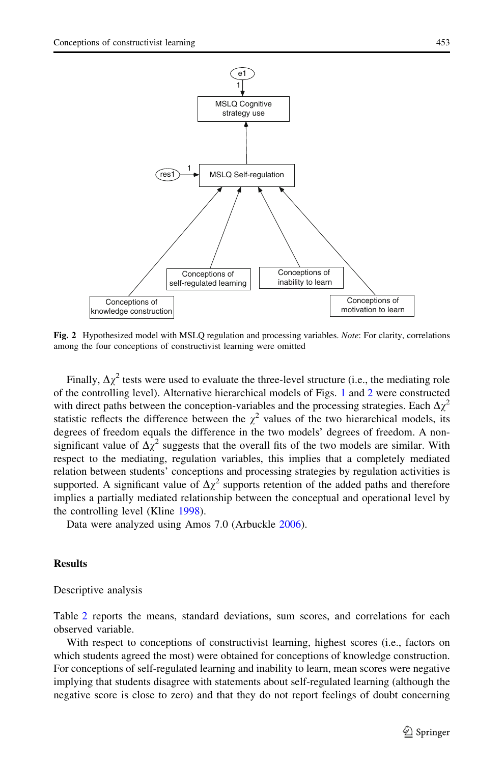<span id="page-8-0"></span>

Fig. 2 Hypothesized model with MSLQ regulation and processing variables. Note: For clarity, correlations among the four conceptions of constructivist learning were omitted

Finally,  $\Delta \chi^2$  tests were used to evaluate the three-level structure (i.e., the mediating role of the controlling level). Alternative hierarchical models of Figs. [1](#page-7-0) and 2 were constructed with direct paths between the conception-variables and the processing strategies. Each  $\Delta \chi^2$ statistic reflects the difference between the  $\chi^2$  values of the two hierarchical models, its degrees of freedom equals the difference in the two models' degrees of freedom. A nonsignificant value of  $\Delta \chi^2$  suggests that the overall fits of the two models are similar. With respect to the mediating, regulation variables, this implies that a completely mediated relation between students' conceptions and processing strategies by regulation activities is supported. A significant value of  $\Delta \chi^2$  supports retention of the added paths and therefore implies a partially mediated relationship between the conceptual and operational level by the controlling level (Kline [1998](#page-16-0)).

Data were analyzed using Amos 7.0 (Arbuckle [2006\)](#page-16-0).

#### **Results**

#### Descriptive analysis

Table [2](#page-9-0) reports the means, standard deviations, sum scores, and correlations for each observed variable.

With respect to conceptions of constructivist learning, highest scores (i.e., factors on which students agreed the most) were obtained for conceptions of knowledge construction. For conceptions of self-regulated learning and inability to learn, mean scores were negative implying that students disagree with statements about self-regulated learning (although the negative score is close to zero) and that they do not report feelings of doubt concerning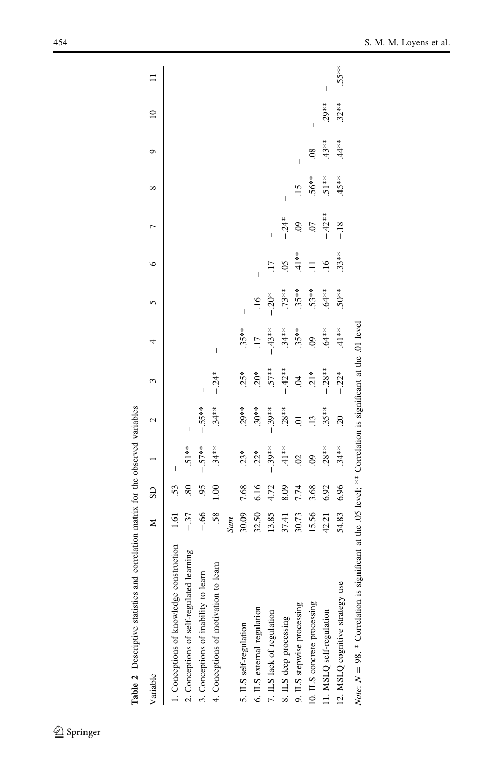<span id="page-9-0"></span>

| Table 2 Descriptive statistics and correlation matrix for the observed variables                               |       |                |           |                 |           |                      |          |         |          |               |               |           |         |
|----------------------------------------------------------------------------------------------------------------|-------|----------------|-----------|-----------------|-----------|----------------------|----------|---------|----------|---------------|---------------|-----------|---------|
| Variable                                                                                                       | Σ     | SD             |           | $\mathcal{C}$   | 3         |                      | n        | ७       |          | ∞             | ᡋ             | $\approx$ |         |
| 1. Conceptions of knowledge construction                                                                       |       |                | I         |                 |           |                      |          |         |          |               |               |           |         |
| 2. Conceptions of self-regulated learning                                                                      | $-37$ | 80             | $.51**$   | I               |           |                      |          |         |          |               |               |           |         |
| 3. Conceptions of inability to learn                                                                           | $-66$ | 95             | $-.57***$ | $-55**$         | I         |                      |          |         |          |               |               |           |         |
| 4. Conceptions of motivation to learn                                                                          | .58   | $\frac{8}{10}$ | $.34**$   | $.34**$         | $-24*$    | I                    |          |         |          |               |               |           |         |
|                                                                                                                | Sum   |                |           |                 |           |                      |          |         |          |               |               |           |         |
| 5. ILS self-regulation                                                                                         | 30.09 | 7.68           | $23*$     | $.29**$         | $-.25*$   | $.35**$              | Í        |         |          |               |               |           |         |
| 6. ILS external regulation                                                                                     | 32.50 | 6.16           | $-.22*$   | $-30**$         | $20*$     | $\overline{11}$      |          | Í       |          |               |               |           |         |
| 7. ILS lack of regulation                                                                                      | 13.85 | 4.72           | $-.39***$ | $-39**$         | $.57***$  | $-.43***$            | $-0.20*$ |         | I        |               |               |           |         |
| 8. ILS deep processing                                                                                         | 37.41 | 8.09           | $-41**$   | $.28**$         | $-.42***$ | $34**$               | $.73**$  | $\rm 5$ | $-0.24*$ | I             |               |           |         |
| 9. ILS stepwise processing                                                                                     | 30.73 | 7.74           | S         | $\overline{0}$  | $-0.4$    | $.35**$              | $.35**$  | $41**$  | $-0.9$   | $\frac{5}{1}$ | I             |           |         |
| 10. ILS concrete processing                                                                                    | 15.56 | 3.68           | S.        | $\overline{13}$ | $-0.21*$  | $\ddot{\mathcal{S}}$ | $.53**$  |         | $-0.7$   | $.56**$       | $\frac{8}{2}$ | I         |         |
| 11. MSLQ self-regulation                                                                                       | 42.21 | 6.92           | $.28**$   | $.35**$         | $-28**$   | $5 + 5$              | $.64**$  | $-16$   | $-42**$  | $.51**$       | $43**$        | $.29**$   | I       |
| 12. MSLQ cognitive strategy use                                                                                | 54.83 | 6.96           | $34**$    | $\overline{c}$  | $-.22*$   | $41**$               | $.50**$  | $.33**$ | $-18$    | $45**$        | $4**$         | $.32***$  | $.55**$ |
| Note: $N = 98$ . * Correlation is significant at the .05 level; ** Correlation is significant at the .01 level |       |                |           |                 |           |                      |          |         |          |               |               |           |         |

| ۱                                                                                     |
|---------------------------------------------------------------------------------------|
| ۱                                                                                     |
| í<br>l                                                                                |
|                                                                                       |
| l<br>i                                                                                |
| ׇ֚֬֡                                                                                  |
| l<br>l<br>l                                                                           |
|                                                                                       |
| l<br>í<br>í<br>l<br>l<br>l                                                            |
| ֖֖ׅׅׅ֧ׅ֧ׅ֖֧֪ׅ֖֧֪ׅ֧֪ׅ֧֪ׅ֧֪ׅ֧֪ׅ֧֪ׅ֧֪ׅ֧֪ׅ֧֪ׅ֧֚֚֚֚֚֚֚֚֚֚֚֚֚֚֚֚֚֚֚֚֚֚֚֚֚֚֚֚֚֬֕֕֝֝֬֝֬֝֬֝֬֝֬ |
| l<br>l                                                                                |
|                                                                                       |
| ۱<br>í                                                                                |
| I                                                                                     |
| l                                                                                     |
|                                                                                       |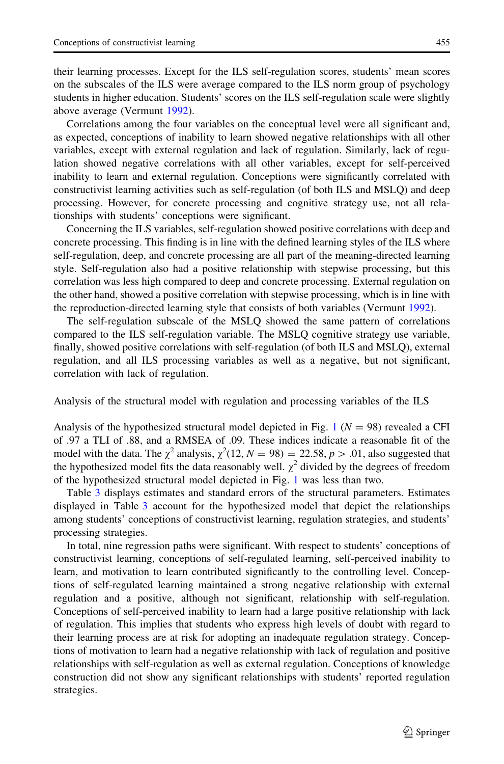their learning processes. Except for the ILS self-regulation scores, students' mean scores on the subscales of the ILS were average compared to the ILS norm group of psychology students in higher education. Students' scores on the ILS self-regulation scale were slightly above average (Vermunt [1992](#page-17-0)).

Correlations among the four variables on the conceptual level were all significant and, as expected, conceptions of inability to learn showed negative relationships with all other variables, except with external regulation and lack of regulation. Similarly, lack of regulation showed negative correlations with all other variables, except for self-perceived inability to learn and external regulation. Conceptions were significantly correlated with constructivist learning activities such as self-regulation (of both ILS and MSLQ) and deep processing. However, for concrete processing and cognitive strategy use, not all relationships with students' conceptions were significant.

Concerning the ILS variables, self-regulation showed positive correlations with deep and concrete processing. This finding is in line with the defined learning styles of the ILS where self-regulation, deep, and concrete processing are all part of the meaning-directed learning style. Self-regulation also had a positive relationship with stepwise processing, but this correlation was less high compared to deep and concrete processing. External regulation on the other hand, showed a positive correlation with stepwise processing, which is in line with the reproduction-directed learning style that consists of both variables (Vermunt [1992](#page-17-0)).

The self-regulation subscale of the MSLQ showed the same pattern of correlations compared to the ILS self-regulation variable. The MSLQ cognitive strategy use variable, finally, showed positive correlations with self-regulation (of both ILS and MSLQ), external regulation, and all ILS processing variables as well as a negative, but not significant, correlation with lack of regulation.

Analysis of the structural model with regulation and processing variables of the ILS

Analysis of the hypothesized structural model depicted in Fig. [1](#page-7-0) ( $N = 98$ ) revealed a CFI of .97 a TLI of .88, and a RMSEA of .09. These indices indicate a reasonable fit of the model with the data. The  $\chi^2$  analysis,  $\chi^2(12, N = 98) = 22.58, p > .01$ , also suggested that the hypothesized model fits the data reasonably well.  $\chi^2$  divided by the degrees of freedom of the hypothesized structural model depicted in Fig. [1](#page-7-0) was less than two.

Table [3](#page-11-0) displays estimates and standard errors of the structural parameters. Estimates displayed in Table [3](#page-11-0) account for the hypothesized model that depict the relationships among students' conceptions of constructivist learning, regulation strategies, and students' processing strategies.

In total, nine regression paths were significant. With respect to students' conceptions of constructivist learning, conceptions of self-regulated learning, self-perceived inability to learn, and motivation to learn contributed significantly to the controlling level. Conceptions of self-regulated learning maintained a strong negative relationship with external regulation and a positive, although not significant, relationship with self-regulation. Conceptions of self-perceived inability to learn had a large positive relationship with lack of regulation. This implies that students who express high levels of doubt with regard to their learning process are at risk for adopting an inadequate regulation strategy. Conceptions of motivation to learn had a negative relationship with lack of regulation and positive relationships with self-regulation as well as external regulation. Conceptions of knowledge construction did not show any significant relationships with students' reported regulation strategies.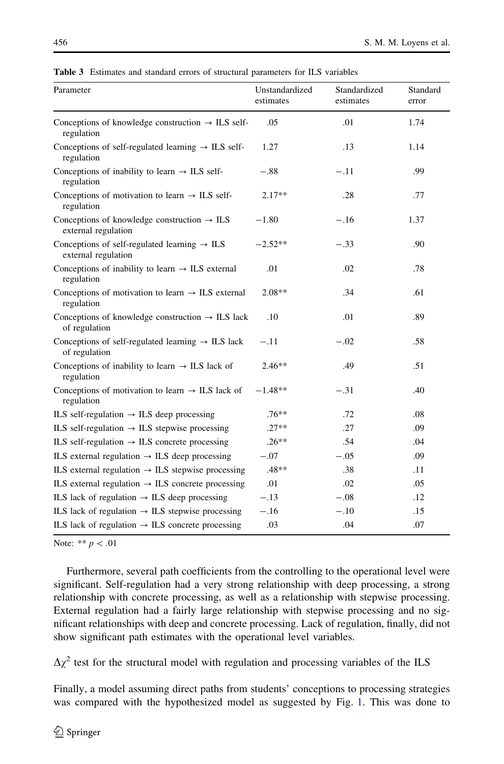| Parameter                                                                       | Unstandardized<br>estimates | Standardized<br>estimates | Standard<br>error |
|---------------------------------------------------------------------------------|-----------------------------|---------------------------|-------------------|
| Conceptions of knowledge construction $\rightarrow$ ILS self-<br>regulation     | .05                         | .01                       | 1.74              |
| Conceptions of self-regulated learning $\rightarrow$ ILS self-<br>regulation    | 1.27                        | .13                       | 1.14              |
| Conceptions of inability to learn $\rightarrow$ ILS self-<br>regulation         | $-.88$                      | $-.11$                    | .99               |
| Conceptions of motivation to learn $\rightarrow$ ILS self-<br>regulation        | $2.17**$                    | .28                       | .77               |
| Conceptions of knowledge construction $\rightarrow$ ILS<br>external regulation  | $-1.80$                     | $-.16$                    | 1.37              |
| Conceptions of self-regulated learning $\rightarrow$ ILS<br>external regulation | $-2.52**$                   | $-.33$                    | .90               |
| Conceptions of inability to learn $\rightarrow$ ILS external<br>regulation      | .01                         | .02                       | .78               |
| Conceptions of motivation to learn $\rightarrow$ ILS external<br>regulation     | 2.08**                      | .34                       | .61               |
| Conceptions of knowledge construction $\rightarrow$ ILS lack<br>of regulation   | .10                         | .01                       | .89               |
| Conceptions of self-regulated learning $\rightarrow$ ILS lack<br>of regulation  | $-.11$                      | $-.02$                    | .58               |
| Conceptions of inability to learn $\rightarrow$ ILS lack of<br>regulation       | $2.46**$                    | .49                       | .51               |
| Conceptions of motivation to learn $\rightarrow$ ILS lack of<br>regulation      | $-1.48**$                   | $-.31$                    | .40               |
| ILS self-regulation $\rightarrow$ ILS deep processing                           | $.76**$                     | .72                       | .08               |
| ILS self-regulation $\rightarrow$ ILS stepwise processing                       | $.27**$                     | .27                       | .09               |
| ILS self-regulation $\rightarrow$ ILS concrete processing                       | $.26**$                     | .54                       | .04               |
| ILS external regulation $\rightarrow$ ILS deep processing                       | $-.07$                      | $-.05$                    | .09               |
| ILS external regulation $\rightarrow$ ILS stepwise processing                   | $.48**$                     | .38                       | .11               |
| ILS external regulation $\rightarrow$ ILS concrete processing                   | .01                         | .02                       | .05               |
| ILS lack of regulation $\rightarrow$ ILS deep processing                        | $-.13$                      | $-.08$                    | .12               |
| ILS lack of regulation $\rightarrow$ ILS stepwise processing                    | $-.16$                      | $-.10$                    | .15               |
| ILS lack of regulation $\rightarrow$ ILS concrete processing                    | .03                         | .04                       | .07               |

<span id="page-11-0"></span>Table 3 Estimates and standard errors of structural parameters for ILS variables

Note: \*\*  $p < .01$ 

Furthermore, several path coefficients from the controlling to the operational level were significant. Self-regulation had a very strong relationship with deep processing, a strong relationship with concrete processing, as well as a relationship with stepwise processing. External regulation had a fairly large relationship with stepwise processing and no significant relationships with deep and concrete processing. Lack of regulation, finally, did not show significant path estimates with the operational level variables.

 $\Delta \chi^2$  test for the structural model with regulation and processing variables of the ILS

Finally, a model assuming direct paths from students' conceptions to processing strategies was compared with the hypothesized model as suggested by Fig. [1](#page-7-0). This was done to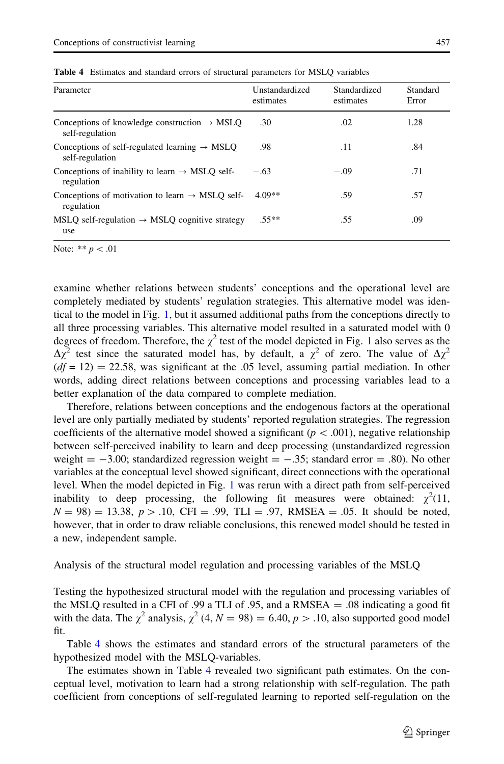| Parameter                                                                    | Unstandardized<br>estimates | Standardized<br>estimates | Standard<br>Error |
|------------------------------------------------------------------------------|-----------------------------|---------------------------|-------------------|
| Conceptions of knowledge construction $\rightarrow$ MSLO<br>self-regulation  | .30                         | $.02\,$                   | 1.28              |
| Conceptions of self-regulated learning $\rightarrow$ MSLO<br>self-regulation | .98                         | .11                       | .84               |
| Conceptions of inability to learn $\rightarrow$ MSLO self-<br>regulation     | $-.63$                      | $-.09$                    | .71               |
| Conceptions of motivation to learn $\rightarrow$ MSLQ self-<br>regulation    | $4.09**$                    | .59                       | .57               |
| $MSLO$ self-regulation $\rightarrow MSLO$ cognitive strategy<br>use          | $.55***$                    | .55                       | .09               |

Table 4 Estimates and standard errors of structural parameters for MSLQ variables

Note:  $** p < .01$ 

examine whether relations between students' conceptions and the operational level are completely mediated by students' regulation strategies. This alternative model was identical to the model in Fig. [1,](#page-7-0) but it assumed additional paths from the conceptions directly to all three processing variables. This alternative model resulted in a saturated model with 0 degrees of freedom. Therefore, the  $\chi^2$  test of the model depicted in Fig. [1](#page-7-0) also serves as the  $\Delta \chi^2$  test since the saturated model has, by default, a  $\chi^2$  of zero. The value of  $\Delta \chi^2$  $(df = 12) = 22.58$ , was significant at the .05 level, assuming partial mediation. In other words, adding direct relations between conceptions and processing variables lead to a better explanation of the data compared to complete mediation.

Therefore, relations between conceptions and the endogenous factors at the operational level are only partially mediated by students' reported regulation strategies. The regression coefficients of the alternative model showed a significant ( $p \lt 0.001$ ), negative relationship between self-perceived inability to learn and deep processing (unstandardized regression weight  $= -3.00$ ; standardized regression weight  $= -0.35$ ; standard error  $= 0.80$ . No other variables at the conceptual level showed significant, direct connections with the operational level. When the model depicted in Fig. [1](#page-7-0) was rerun with a direct path from self-perceived inability to deep processing, the following fit measures were obtained:  $\chi^2(11,$  $N = 98$  = 13.38,  $p > .10$ , CFI = .99, TLI = .97, RMSEA = .05. It should be noted, however, that in order to draw reliable conclusions, this renewed model should be tested in a new, independent sample.

Analysis of the structural model regulation and processing variables of the MSLQ

Testing the hypothesized structural model with the regulation and processing variables of the MSLQ resulted in a CFI of .99 a TLI of .95, and a RMSEA = .08 indicating a good fit with the data. The  $\chi^2$  analysis,  $\chi^2$  (4, N = 98) = 6.40, p > .10, also supported good model fit.

Table 4 shows the estimates and standard errors of the structural parameters of the hypothesized model with the MSLQ-variables.

The estimates shown in Table 4 revealed two significant path estimates. On the conceptual level, motivation to learn had a strong relationship with self-regulation. The path coefficient from conceptions of self-regulated learning to reported self-regulation on the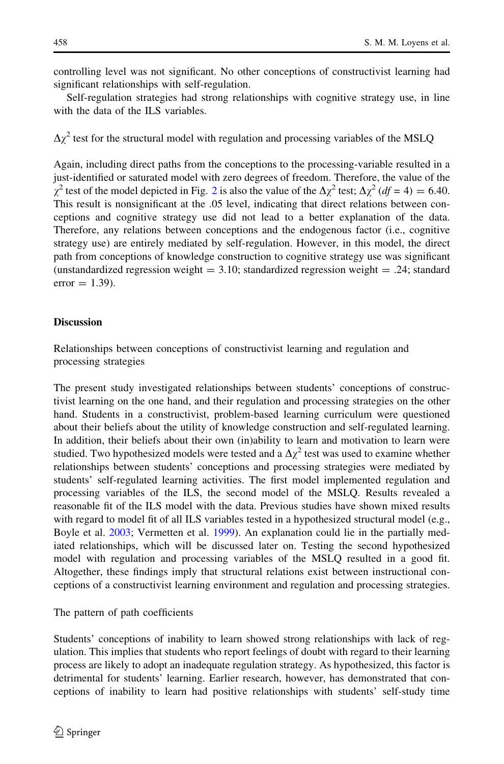controlling level was not significant. No other conceptions of constructivist learning had significant relationships with self-regulation.

Self-regulation strategies had strong relationships with cognitive strategy use, in line with the data of the ILS variables.

 $\Delta \chi^2$  test for the structural model with regulation and processing variables of the MSLQ

Again, including direct paths from the conceptions to the processing-variable resulted in a just-identified or saturated model with zero degrees of freedom. Therefore, the value of the  $\chi^2$  $\chi^2$  test of the model depicted in Fig. 2 is also the value of the  $\Delta \chi^2$  test;  $\Delta \chi^2 (df = 4) = 6.40$ . This result is nonsignificant at the .05 level, indicating that direct relations between conceptions and cognitive strategy use did not lead to a better explanation of the data. Therefore, any relations between conceptions and the endogenous factor (i.e., cognitive strategy use) are entirely mediated by self-regulation. However, in this model, the direct path from conceptions of knowledge construction to cognitive strategy use was significant (unstandardized regression weight  $=$  3.10; standardized regression weight  $=$  .24; standard  $error = 1.39$ .

## **Discussion**

Relationships between conceptions of constructivist learning and regulation and processing strategies

The present study investigated relationships between students' conceptions of constructivist learning on the one hand, and their regulation and processing strategies on the other hand. Students in a constructivist, problem-based learning curriculum were questioned about their beliefs about the utility of knowledge construction and self-regulated learning. In addition, their beliefs about their own (in)ability to learn and motivation to learn were studied. Two hypothesized models were tested and a  $\Delta \chi^2$  test was used to examine whether relationships between students' conceptions and processing strategies were mediated by students' self-regulated learning activities. The first model implemented regulation and processing variables of the ILS, the second model of the MSLQ. Results revealed a reasonable fit of the ILS model with the data. Previous studies have shown mixed results with regard to model fit of all ILS variables tested in a hypothesized structural model (e.g., Boyle et al. [2003](#page-16-0); Vermetten et al. [1999\)](#page-17-0). An explanation could lie in the partially mediated relationships, which will be discussed later on. Testing the second hypothesized model with regulation and processing variables of the MSLQ resulted in a good fit. Altogether, these findings imply that structural relations exist between instructional conceptions of a constructivist learning environment and regulation and processing strategies.

# The pattern of path coefficients

Students' conceptions of inability to learn showed strong relationships with lack of regulation. This implies that students who report feelings of doubt with regard to their learning process are likely to adopt an inadequate regulation strategy. As hypothesized, this factor is detrimental for students' learning. Earlier research, however, has demonstrated that conceptions of inability to learn had positive relationships with students' self-study time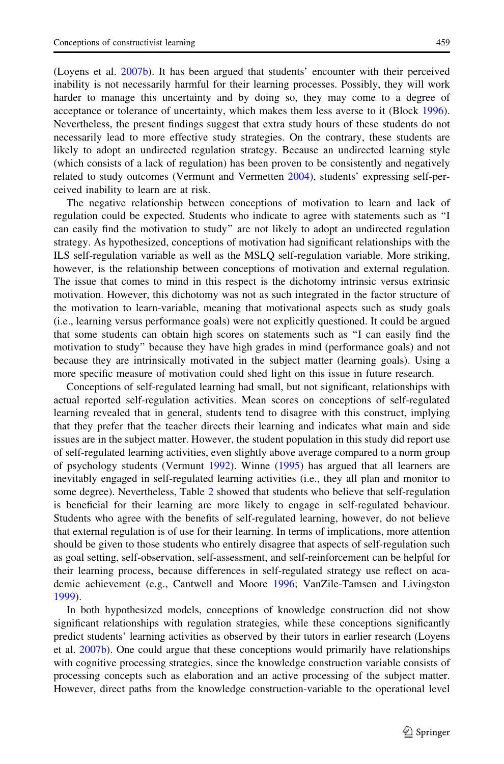(Loyens et al. [2007b](#page-16-0)). It has been argued that students' encounter with their perceived inability is not necessarily harmful for their learning processes. Possibly, they will work harder to manage this uncertainty and by doing so, they may come to a degree of acceptance or tolerance of uncertainty, which makes them less averse to it (Block [1996](#page-16-0)). Nevertheless, the present findings suggest that extra study hours of these students do not necessarily lead to more effective study strategies. On the contrary, these students are likely to adopt an undirected regulation strategy. Because an undirected learning style (which consists of a lack of regulation) has been proven to be consistently and negatively related to study outcomes (Vermunt and Vermetten [2004](#page-17-0)), students' expressing self-perceived inability to learn are at risk.

The negative relationship between conceptions of motivation to learn and lack of regulation could be expected. Students who indicate to agree with statements such as ''I can easily find the motivation to study'' are not likely to adopt an undirected regulation strategy. As hypothesized, conceptions of motivation had significant relationships with the ILS self-regulation variable as well as the MSLQ self-regulation variable. More striking, however, is the relationship between conceptions of motivation and external regulation. The issue that comes to mind in this respect is the dichotomy intrinsic versus extrinsic motivation. However, this dichotomy was not as such integrated in the factor structure of the motivation to learn-variable, meaning that motivational aspects such as study goals (i.e., learning versus performance goals) were not explicitly questioned. It could be argued that some students can obtain high scores on statements such as ''I can easily find the motivation to study'' because they have high grades in mind (performance goals) and not because they are intrinsically motivated in the subject matter (learning goals). Using a more specific measure of motivation could shed light on this issue in future research.

Conceptions of self-regulated learning had small, but not significant, relationships with actual reported self-regulation activities. Mean scores on conceptions of self-regulated learning revealed that in general, students tend to disagree with this construct, implying that they prefer that the teacher directs their learning and indicates what main and side issues are in the subject matter. However, the student population in this study did report use of self-regulated learning activities, even slightly above average compared to a norm group of psychology students (Vermunt [1992\)](#page-17-0). Winne ([1995\)](#page-17-0) has argued that all learners are inevitably engaged in self-regulated learning activities (i.e., they all plan and monitor to some degree). Nevertheless, Table [2](#page-9-0) showed that students who believe that self-regulation is beneficial for their learning are more likely to engage in self-regulated behaviour. Students who agree with the benefits of self-regulated learning, however, do not believe that external regulation is of use for their learning. In terms of implications, more attention should be given to those students who entirely disagree that aspects of self-regulation such as goal setting, self-observation, self-assessment, and self-reinforcement can be helpful for their learning process, because differences in self-regulated strategy use reflect on academic achievement (e.g., Cantwell and Moore [1996](#page-16-0); VanZile-Tamsen and Livingston [1999\)](#page-17-0).

In both hypothesized models, conceptions of knowledge construction did not show significant relationships with regulation strategies, while these conceptions significantly predict students' learning activities as observed by their tutors in earlier research (Loyens et al. [2007b\)](#page-16-0). One could argue that these conceptions would primarily have relationships with cognitive processing strategies, since the knowledge construction variable consists of processing concepts such as elaboration and an active processing of the subject matter. However, direct paths from the knowledge construction-variable to the operational level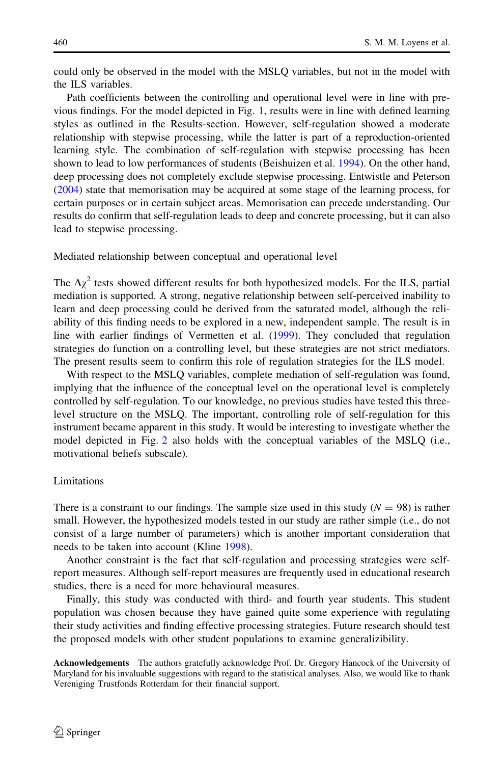could only be observed in the model with the MSLQ variables, but not in the model with the ILS variables.

Path coefficients between the controlling and operational level were in line with previous findings. For the model depicted in Fig. [1](#page-7-0), results were in line with defined learning styles as outlined in the Results-section. However, self-regulation showed a moderate relationship with stepwise processing, while the latter is part of a reproduction-oriented learning style. The combination of self-regulation with stepwise processing has been shown to lead to low performances of students (Beishuizen et al. [1994\)](#page-16-0). On the other hand, deep processing does not completely exclude stepwise processing. Entwistle and Peterson ([2004\)](#page-16-0) state that memorisation may be acquired at some stage of the learning process, for certain purposes or in certain subject areas. Memorisation can precede understanding. Our results do confirm that self-regulation leads to deep and concrete processing, but it can also lead to stepwise processing.

Mediated relationship between conceptual and operational level

The  $\Delta\chi^2$  tests showed different results for both hypothesized models. For the ILS, partial mediation is supported. A strong, negative relationship between self-perceived inability to learn and deep processing could be derived from the saturated model, although the reliability of this finding needs to be explored in a new, independent sample. The result is in line with earlier findings of Vermetten et al. ([1999\)](#page-17-0). They concluded that regulation strategies do function on a controlling level, but these strategies are not strict mediators. The present results seem to confirm this role of regulation strategies for the ILS model.

With respect to the MSLQ variables, complete mediation of self-regulation was found, implying that the influence of the conceptual level on the operational level is completely controlled by self-regulation. To our knowledge, no previous studies have tested this threelevel structure on the MSLQ. The important, controlling role of self-regulation for this instrument became apparent in this study. It would be interesting to investigate whether the model depicted in Fig. [2](#page-8-0) also holds with the conceptual variables of the MSLQ (i.e., motivational beliefs subscale).

#### Limitations

There is a constraint to our findings. The sample size used in this study ( $N = 98$ ) is rather small. However, the hypothesized models tested in our study are rather simple (i.e., do not consist of a large number of parameters) which is another important consideration that needs to be taken into account (Kline [1998\)](#page-16-0).

Another constraint is the fact that self-regulation and processing strategies were selfreport measures. Although self-report measures are frequently used in educational research studies, there is a need for more behavioural measures.

Finally, this study was conducted with third- and fourth year students. This student population was chosen because they have gained quite some experience with regulating their study activities and finding effective processing strategies. Future research should test the proposed models with other student populations to examine generalizibility.

Acknowledgements The authors gratefully acknowledge Prof. Dr. Gregory Hancock of the University of Maryland for his invaluable suggestions with regard to the statistical analyses. Also, we would like to thank Vereniging Trustfonds Rotterdam for their financial support.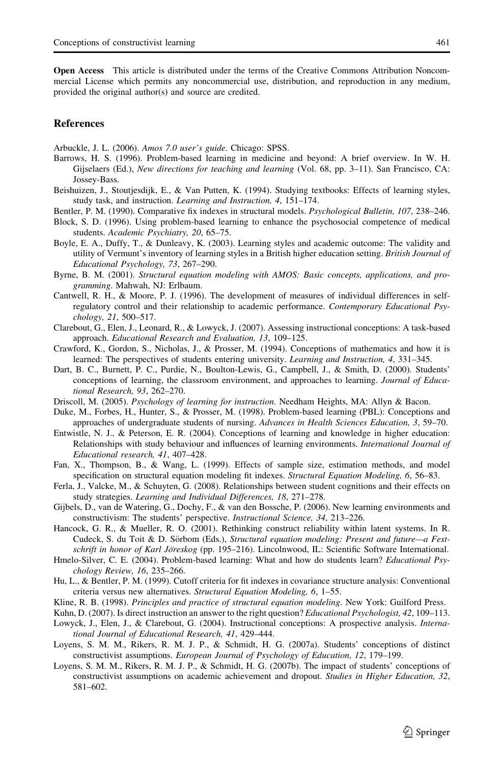## <span id="page-16-0"></span>References

Arbuckle, J. L. (2006). Amos 7.0 user's guide. Chicago: SPSS.

- Barrows, H. S. (1996). Problem-based learning in medicine and beyond: A brief overview. In W. H. Gijselaers (Ed.), New directions for teaching and learning (Vol. 68, pp. 3–11). San Francisco, CA: Jossey-Bass.
- Beishuizen, J., Stoutjesdijk, E., & Van Putten, K. (1994). Studying textbooks: Effects of learning styles, study task, and instruction. Learning and Instruction, 4, 151–174.
- Bentler, P. M. (1990). Comparative fix indexes in structural models. Psychological Bulletin, 107, 238–246.
- Block, S. D. (1996). Using problem-based learning to enhance the psychosocial competence of medical students. Academic Psychiatry, 20, 65–75.
- Boyle, E. A., Duffy, T., & Dunleavy, K. (2003). Learning styles and academic outcome: The validity and utility of Vermunt's inventory of learning styles in a British higher education setting. British Journal of Educational Psychology, 73, 267–290.
- Byrne, B. M. (2001). Structural equation modeling with AMOS: Basic concepts, applications, and programming. Mahwah, NJ: Erlbaum.
- Cantwell, R. H., & Moore, P. J. (1996). The development of measures of individual differences in selfregulatory control and their relationship to academic performance. Contemporary Educational Psychology, 21, 500–517.
- Clarebout, G., Elen, J., Leonard, R., & Lowyck, J. (2007). Assessing instructional conceptions: A task-based approach. Educational Research and Evaluation, 13, 109–125.
- Crawford, K., Gordon, S., Nicholas, J., & Prosser, M. (1994). Conceptions of mathematics and how it is learned: The perspectives of students entering university. Learning and Instruction, 4, 331–345.
- Dart, B. C., Burnett, P. C., Purdie, N., Boulton-Lewis, G., Campbell, J., & Smith, D. (2000). Students' conceptions of learning, the classroom environment, and approaches to learning. Journal of Educational Research, 93, 262–270.
- Driscoll, M. (2005). Psychology of learning for instruction. Needham Heights, MA: Allyn & Bacon.
- Duke, M., Forbes, H., Hunter, S., & Prosser, M. (1998). Problem-based learning (PBL): Conceptions and approaches of undergraduate students of nursing. Advances in Health Sciences Education, 3, 59–70.
- Entwistle, N. J., & Peterson, E. R. (2004). Conceptions of learning and knowledge in higher education: Relationships with study behaviour and influences of learning environments. International Journal of Educational research, 41, 407–428.
- Fan, X., Thompson, B., & Wang, L. (1999). Effects of sample size, estimation methods, and model specification on structural equation modeling fit indexes. Structural Equation Modeling, 6, 56–83.
- Ferla, J., Valcke, M., & Schuyten, G. (2008). Relationships between student cognitions and their effects on study strategies. Learning and Individual Differences, 18, 271–278.
- Gijbels, D., van de Watering, G., Dochy, F., & van den Bossche, P. (2006). New learning environments and constructivism: The students' perspective. Instructional Science, 34, 213–226.
- Hancock, G. R., & Mueller, R. O. (2001). Rethinking construct reliability within latent systems. In R. Cudeck, S. du Toit & D. Sörbom (Eds.), Structural equation modeling: Present and future—a Festschrift in honor of Karl Jöreskog (pp. 195–216). Lincolnwood, IL: Scientific Software International.
- Hmelo-Silver, C. E. (2004). Problem-based learning: What and how do students learn? Educational Psychology Review, 16, 235–266.
- Hu, L., & Bentler, P. M. (1999). Cutoff criteria for fit indexes in covariance structure analysis: Conventional criteria versus new alternatives. Structural Equation Modeling, 6, 1–55.
- Kline, R. B. (1998). Principles and practice of structural equation modeling. New York: Guilford Press.
- Kuhn, D. (2007). Is direct instruction an answer to the right question? *Educational Psychologist*, 42, 109–113.
- Lowyck, J., Elen, J., & Clarebout, G. (2004). Instructional conceptions: A prospective analysis. International Journal of Educational Research, 41, 429–444.
- Loyens, S. M. M., Rikers, R. M. J. P., & Schmidt, H. G. (2007a). Students' conceptions of distinct constructivist assumptions. European Journal of Psychology of Education, 12, 179–199.
- Loyens, S. M. M., Rikers, R. M. J. P., & Schmidt, H. G. (2007b). The impact of students' conceptions of constructivist assumptions on academic achievement and dropout. Studies in Higher Education, 32, 581–602.